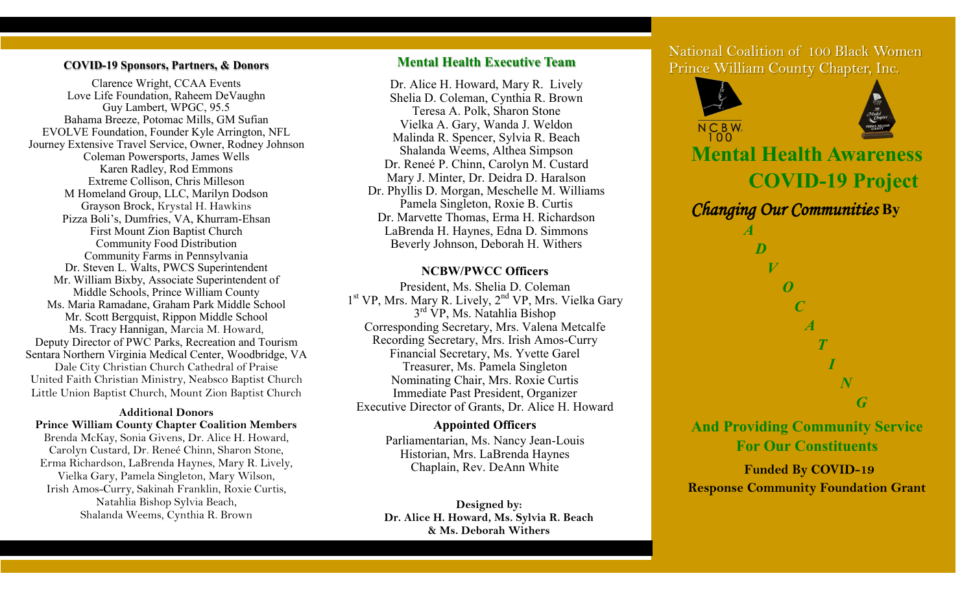#### **COVID-19 Sponsors, Partners, & Donors**

Clarence Wright, CCAA Events Love Life Foundation, Raheem DeVaughn Guy Lambert, WPGC, 95.5 Bahama Breeze, Potomac Mills, GM Sufian EVOLVE Foundation, Founder Kyle Arrington, NFL Journey Extensive Travel Service, Owner, Rodney Johnson Coleman Powersports, James Wells Karen Radley, Rod Emmons Extreme Collison, Chris Milleson M Homeland Group, LLC, Marilyn Dodson Grayson Brock, Krystal H. Hawkins Pizza Boli's, Dumfries, VA, Khurram-Ehsan First Mount Zion Baptist Church Community Food Distribution Community Farms in Pennsylvania Dr. Steven L. Walts, PWCS Superintendent Mr. William Bixby, Associate Superintendent of Middle Schools, Prince William County Ms. Maria Ramadane, Graham Park Middle School Mr. Scott Bergquist, Rippon Middle School Ms. Tracy Hannigan, Marcia M. Howard, Deputy Director of PWC Parks, Recreation and Tourism Sentara Northern Virginia Medical Center, Woodbridge, VA Dale City Christian Church Cathedral of Praise United Faith Christian Ministry, Neabsco Baptist Church Little Union Baptist Church, Mount Zion Baptist Church

#### **Additional Donors**

**Prince William County Chapter Coalition Members** Brenda McKay, Sonia Givens, Dr. Alice H. Howard, Carolyn Custard, Dr. Reneé Chinn, Sharon Stone, Erma Richardson, LaBrenda Haynes, Mary R. Lively, Vielka Gary, Pamela Singleton, Mary Wilson, Irish Amos-Curry, Sakinah Franklin, Roxie Curtis, Natahlia Bishop Sylvia Beach, Shalanda Weems, Cynthia R. Brown

## **Mental Health Executive Team**

Dr. Alice H. Howard, Mary R. Lively Shelia D. Coleman, Cynthia R. Brown Teresa A. Polk, Sharon Stone Vielka A. Gary, Wanda J. Weldon Malinda R. Spencer, Sylvia R. Beach Shalanda Weems, Althea Simpson Dr. Reneé P. Chinn, Carolyn M. Custard Mary J. Minter, Dr. Deidra D. Haralson Dr. Phyllis D. Morgan, Meschelle M. Williams Pamela Singleton, Roxie B. Curtis Dr. Marvette Thomas, Erma H. Richardson LaBrenda H. Haynes, Edna D. Simmons Beverly Johnson, Deborah H. Withers

### **NCBW/PWCC Officers**

President, Ms. Shelia D. Coleman 1<sup>st</sup> VP, Mrs. Mary R. Lively, 2<sup>nd</sup> VP, Mrs. Vielka Gary 3<sup>rd</sup> VP, Ms. Natahlia Bishop Corresponding Secretary, Mrs. Valena Metcalfe Recording Secretary, Mrs. Irish Amos-Curry Financial Secretary, Ms. Yvette Garel Treasurer, Ms. Pamela Singleton Nominating Chair, Mrs. Roxie Curtis Immediate Past President, Organizer Executive Director of Grants, Dr. Alice H. Howard

### **Appointed Officers**

Parliamentarian, Ms. Nancy Jean-Louis Historian, Mrs. LaBrenda Haynes Chaplain, Rev. DeAnn White

**Designed by: Dr. Alice H. Howard, Ms. Sylvia R. Beach & Ms. Deborah Withers**

National Coalition of 100 Black Women Prince William County Chapter, Inc.



**Funded By COVID-19 Response Community Foundation Grant**